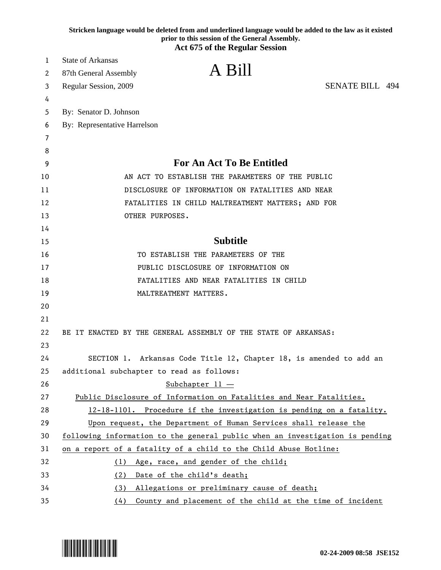| <b>Act 675 of the Regular Session</b><br><b>State of Arkansas</b><br>1<br>A Bill<br>87th General Assembly<br>2<br><b>SENATE BILL 494</b><br>Regular Session, 2009<br>3<br>4<br>By: Senator D. Johnson<br>5<br>By: Representative Harrelson<br>6<br>7<br>8<br>For An Act To Be Entitled<br>9 |  |
|---------------------------------------------------------------------------------------------------------------------------------------------------------------------------------------------------------------------------------------------------------------------------------------------|--|
|                                                                                                                                                                                                                                                                                             |  |
|                                                                                                                                                                                                                                                                                             |  |
|                                                                                                                                                                                                                                                                                             |  |
|                                                                                                                                                                                                                                                                                             |  |
|                                                                                                                                                                                                                                                                                             |  |
|                                                                                                                                                                                                                                                                                             |  |
|                                                                                                                                                                                                                                                                                             |  |
|                                                                                                                                                                                                                                                                                             |  |
|                                                                                                                                                                                                                                                                                             |  |
| AN ACT TO ESTABLISH THE PARAMETERS OF THE PUBLIC<br>10                                                                                                                                                                                                                                      |  |
| DISCLOSURE OF INFORMATION ON FATALITIES AND NEAR<br>11                                                                                                                                                                                                                                      |  |
| 12<br>FATALITIES IN CHILD MALTREATMENT MATTERS; AND FOR                                                                                                                                                                                                                                     |  |
| 13<br>OTHER PURPOSES.                                                                                                                                                                                                                                                                       |  |
| 14                                                                                                                                                                                                                                                                                          |  |
| <b>Subtitle</b><br>15                                                                                                                                                                                                                                                                       |  |
| 16<br>TO ESTABLISH THE PARAMETERS OF THE                                                                                                                                                                                                                                                    |  |
| PUBLIC DISCLOSURE OF INFORMATION ON<br>17                                                                                                                                                                                                                                                   |  |
| FATALITIES AND NEAR FATALITIES IN CHILD<br>18                                                                                                                                                                                                                                               |  |
| MALTREATMENT MATTERS.<br>19                                                                                                                                                                                                                                                                 |  |
| 20                                                                                                                                                                                                                                                                                          |  |
| 21                                                                                                                                                                                                                                                                                          |  |
| 22<br>BE IT ENACTED BY THE GENERAL ASSEMBLY OF THE STATE OF ARKANSAS:                                                                                                                                                                                                                       |  |
| 23                                                                                                                                                                                                                                                                                          |  |
| 24<br>SECTION 1. Arkansas Code Title 12, Chapter 18, is amended to add an                                                                                                                                                                                                                   |  |
| 25<br>additional subchapter to read as follows:                                                                                                                                                                                                                                             |  |
| 26<br>Subchapter $11 -$                                                                                                                                                                                                                                                                     |  |
| 27<br>Public Disclosure of Information on Fatalities and Near Fatalities.                                                                                                                                                                                                                   |  |
| 28<br>12-18-1101. Procedure if the investigation is pending on a fatality.                                                                                                                                                                                                                  |  |
| 29<br>Upon request, the Department of Human Services shall release the                                                                                                                                                                                                                      |  |
| 30<br>following information to the general public when an investigation is pending                                                                                                                                                                                                          |  |
| 31<br>on a report of a fatality of a child to the Child Abuse Hotline:                                                                                                                                                                                                                      |  |
| 32<br>Age, race, and gender of the child;<br>(1)                                                                                                                                                                                                                                            |  |
| 33<br>(2)<br>Date of the child's death;<br>Allegations or preliminary cause of death;<br>34<br>(3)                                                                                                                                                                                          |  |
| 35<br>County and placement of the child at the time of incident<br>(4)                                                                                                                                                                                                                      |  |

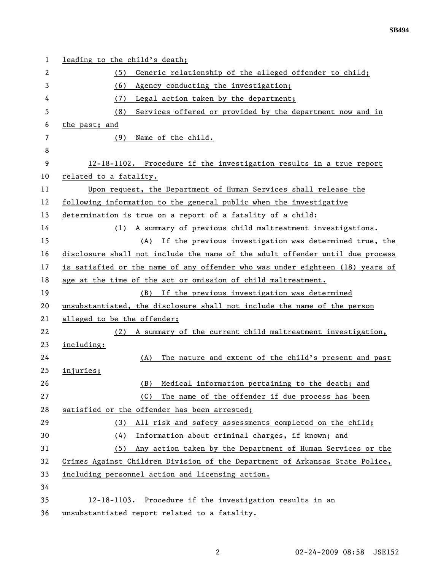| 1  | leading to the child's death;                                                 |
|----|-------------------------------------------------------------------------------|
| 2  | Generic relationship of the alleged offender to child;<br>(5)                 |
| 3  | (6)<br>Agency conducting the investigation;                                   |
| 4  | Legal action taken by the department;<br>(7)                                  |
| 5  | Services offered or provided by the department now and in<br>(8)              |
| 6  | the past; and                                                                 |
| 7  | (9)<br>Name of the child.                                                     |
| 8  |                                                                               |
| 9  | 12-18-1102. Procedure if the investigation results in a true report           |
| 10 | related to a fatality.                                                        |
| 11 | Upon request, the Department of Human Services shall release the              |
| 12 | following information to the general public when the investigative            |
| 13 | determination is true on a report of a fatality of a child:                   |
| 14 | A summary of previous child maltreatment investigations.<br>(1)               |
| 15 | (A) If the previous investigation was determined true, the                    |
| 16 | disclosure shall not include the name of the adult offender until due process |
| 17 | is satisfied or the name of any offender who was under eighteen (18) years of |
| 18 | age at the time of the act or omission of child maltreatment.                 |
| 19 | If the previous investigation was determined<br>(B)                           |
| 20 | unsubstantiated, the disclosure shall not include the name of the person      |
| 21 | alleged to be the offender;                                                   |
| 22 | (2) A summary of the current child maltreatment investigation,                |
| 23 | including:                                                                    |
| 24 | The nature and extent of the child's present and past<br>(A)                  |
| 25 | injuries;                                                                     |
| 26 | Medical information pertaining to the death; and<br>(B)                       |
| 27 | The name of the offender if due process has been<br>(C)                       |
| 28 | satisfied or the offender has been arrested;                                  |
| 29 | All risk and safety assessments completed on the child;<br>(3)                |
| 30 | (4)<br>Information about criminal charges, if known; and                      |
| 31 | Any action taken by the Department of Human Services or the<br>(5)            |
| 32 | Crimes Against Children Division of the Department of Arkansas State Police,  |
| 33 | including personnel action and licensing action.                              |
| 34 |                                                                               |
| 35 | 12-18-1103. Procedure if the investigation results in an                      |
| 36 | unsubstantiated report related to a fatality.                                 |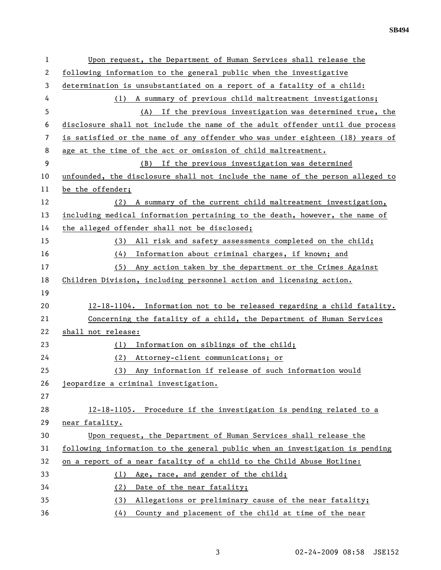| 1  | Upon request, the Department of Human Services shall release the              |
|----|-------------------------------------------------------------------------------|
| 2  | following information to the general public when the investigative            |
| 3  | determination is unsubstantiated on a report of a fatality of a child:        |
| 4  | (1) A summary of previous child maltreatment investigations;                  |
| 5  | (A) If the previous investigation was determined true, the                    |
| 6  | disclosure shall not include the name of the adult offender until due process |
| 7  | is satisfied or the name of any offender who was under eighteen (18) years of |
| 8  | age at the time of the act or omission of child maltreatment.                 |
| 9  | If the previous investigation was determined<br>(B)                           |
| 10 | unfounded, the disclosure shall not include the name of the person alleged to |
| 11 | be the offender;                                                              |
| 12 | (2) A summary of the current child maltreatment investigation,                |
| 13 | including medical information pertaining to the death, however, the name of   |
| 14 | the alleged offender shall not be disclosed;                                  |
| 15 | All risk and safety assessments completed on the child;<br>(3)                |
| 16 | Information about criminal charges, if known; and<br>(4)                      |
| 17 | Any action taken by the department or the Crimes Against<br>(5)               |
| 18 | Children Division, including personnel action and licensing action.           |
| 19 |                                                                               |
| 20 | 12-18-1104. Information not to be released regarding a child fatality.        |
| 21 | Concerning the fatality of a child, the Department of Human Services          |
| 22 | shall not release:                                                            |
| 23 | Information on siblings of the child;<br>(1)                                  |
| 24 | (2)<br>Attorney-client communications; or                                     |
| 25 | Any information if release of such information would<br>(3)                   |
| 26 | jeopardize a criminal investigation.                                          |
| 27 |                                                                               |
| 28 | 12-18-1105. Procedure if the investigation is pending related to a            |
| 29 | near fatality.                                                                |
| 30 | Upon request, the Department of Human Services shall release the              |
| 31 | following information to the general public when an investigation is pending  |
| 32 | on a report of a near fatality of a child to the Child Abuse Hotline:         |
| 33 | Age, race, and gender of the child;<br>(1)                                    |
| 34 | Date of the near fatality;<br>(2)                                             |
| 35 | Allegations or preliminary cause of the near fatality;<br>(3)                 |
| 36 | County and placement of the child at time of the near<br>(4)                  |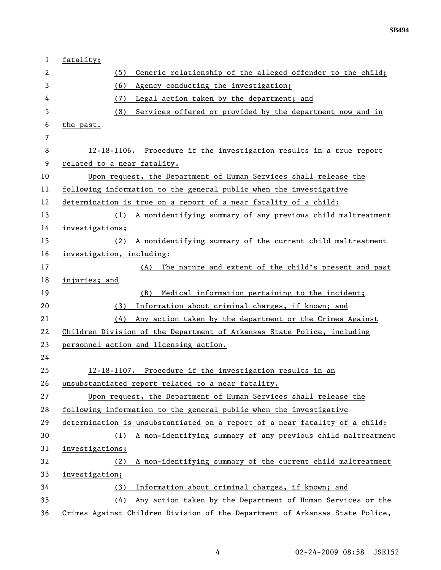| $\mathbf{1}$   | fatality;                                                                    |
|----------------|------------------------------------------------------------------------------|
| 2              | Generic relationship of the alleged offender to the child;<br>(5)            |
| 3              | Agency conducting the investigation;<br>(6)                                  |
| 4              | Legal action taken by the department; and<br>(7)                             |
| 5              | Services offered or provided by the department now and in<br>(8)             |
| 6              | the past.                                                                    |
| $\overline{7}$ |                                                                              |
| 8              | 12-18-1106. Procedure if the investigation results in a true report          |
| 9              | related to a near fatality.                                                  |
| 10             | Upon request, the Department of Human Services shall release the             |
| 11             | following information to the general public when the investigative           |
| 12             | determination is true on a report of a near fatality of a child:             |
| 13             | A nonidentifying summary of any previous child maltreatment<br>(1)           |
| 14             | investigations;                                                              |
| 15             | A nonidentifying summary of the current child maltreatment<br>(2)            |
| 16             | investigation, including:                                                    |
| 17             | The nature and extent of the child's present and past<br>(A)                 |
| 18             | injuries; and                                                                |
| 19             | (B)<br>Medical information pertaining to the incident;                       |
| 20             | Information about criminal charges, if known; and<br>(3)                     |
| 21             | (4)<br>Any action taken by the department or the Crimes Against              |
| 22             | Children Division of the Department of Arkansas State Police, including      |
| 23             | personnel action and licensing action.                                       |
| 24             |                                                                              |
| 25             | 12-18-1107. Procedure if the investigation results in an                     |
| 26             | unsubstantiated report related to a near fatality.                           |
| 27             | Upon request, the Department of Human Services shall release the             |
| 28             | following information to the general public when the investigative           |
| 29             | determination is unsubstantiated on a report of a near fatality of a child:  |
| 30             | A non-identifying summary of any previous child maltreatment<br>(1)          |
| 31             | investigations;                                                              |
| 32             | A non-identifying summary of the current child maltreatment<br>(2)           |
| 33             | investigation;                                                               |
| 34             | Information about criminal charges, if known; and<br>(3)                     |
| 35             | (4)<br>Any action taken by the Department of Human Services or the           |
| 36             | Crimes Against Children Division of the Department of Arkansas State Police, |